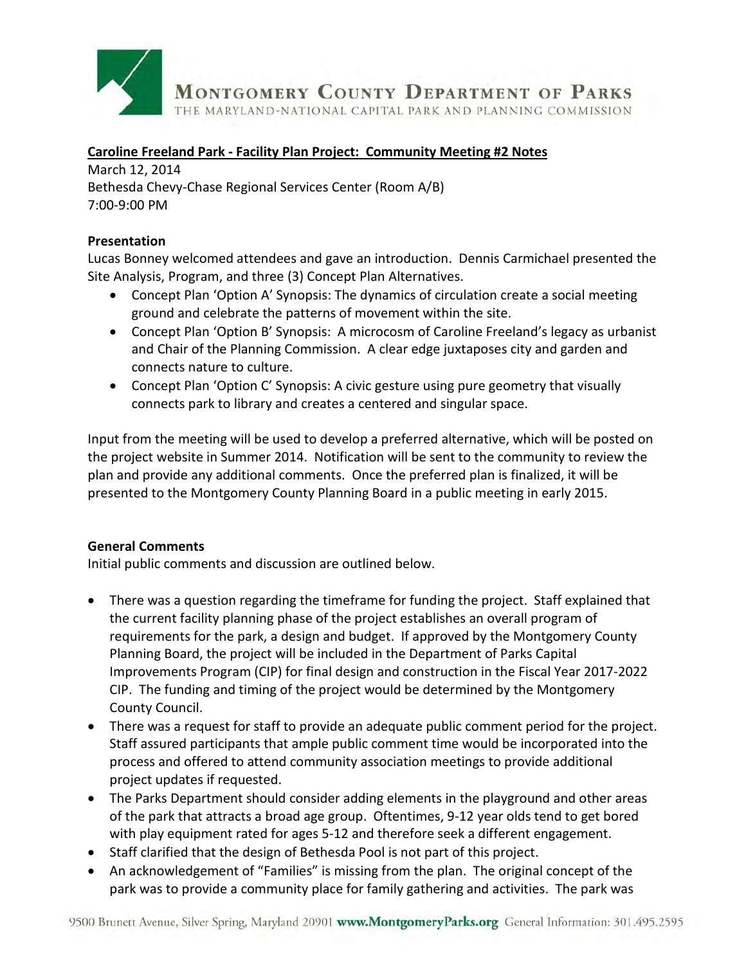

#### **Caroline Freeland Park - Facility Plan Project: Community Meeting #2 Notes**

March 12, 2014 Bethesda Chevy-Chase Regional Services Center (Room A/B) 7:00-9:00 PM

#### **Presentation**

Lucas Bonney welcomed attendees and gave an introduction.Dennis Carmichael presented the Site Analysis, Program, and three (3) Concept Plan Alternatives.

- Concept Plan 'Option A' Synopsis: The dynamics of circulation create a social meeting ground and celebrate the patterns of movement within the site.
- Concept Plan 'Option B' Synopsis: A microcosm of Caroline Freeland's legacy as urbanist and Chair of the Planning Commission. A clear edge juxtaposes city and garden and connects nature to culture.
- Concept Plan 'Option C' Synopsis: A civic gesture using pure geometry that visually connects park to library and creates a centered and singular space.

Input from the meeting will be used to develop a preferred alternative, which will be posted on the project website in Summer 2014. Notification will be sent to the community to review the plan and provide any additional comments. Once the preferred plan is finalized, it will be presented to the Montgomery County Planning Board in a public meeting in early 2015.

#### **General Comments**

Initial public comments and discussion are outlined below.

- There was a question regarding the timeframe for funding the project. Staff explained that the current facility planning phase of the project establishes an overall program of requirements for the park, a design and budget. If approved by the Montgomery County Planning Board, the project will be included in the Department of Parks Capital Improvements Program (CIP) for final design and construction in the Fiscal Year 2017-2022 CIP. The funding and timing of the project would be determined by the Montgomery County Council.
- There was a request for staff to provide an adequate public comment period for the project. Staff assured participants that ample public comment time would be incorporated into the process and offered to attend community association meetings to provide additional project updates if requested.
- The Parks Department should consider adding elements in the playground and other areas of the park that attracts a broad age group. Oftentimes, 9-12 year olds tend to get bored with play equipment rated for ages 5-12 and therefore seek a different engagement.
- Staff clarified that the design of Bethesda Pool is not part of this project.
- An acknowledgement of "Families" is missing from the plan. The original concept of the park was to provide a community place for family gathering and activities. The park was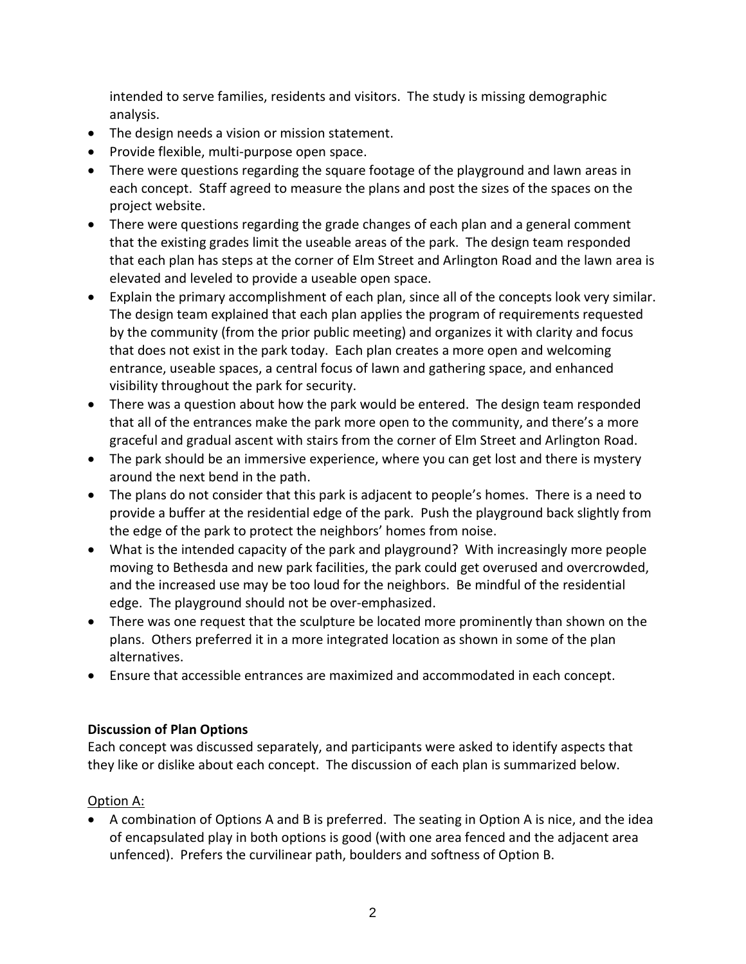intended to serve families, residents and visitors. The study is missing demographic analysis.

- The design needs a vision or mission statement.
- Provide flexible, multi-purpose open space.
- There were questions regarding the square footage of the playground and lawn areas in each concept. Staff agreed to measure the plans and post the sizes of the spaces on the project website.
- There were questions regarding the grade changes of each plan and a general comment that the existing grades limit the useable areas of the park. The design team responded that each plan has steps at the corner of Elm Street and Arlington Road and the lawn area is elevated and leveled to provide a useable open space.
- Explain the primary accomplishment of each plan, since all of the concepts look very similar. The design team explained that each plan applies the program of requirements requested by the community (from the prior public meeting) and organizes it with clarity and focus that does not exist in the park today. Each plan creates a more open and welcoming entrance, useable spaces, a central focus of lawn and gathering space, and enhanced visibility throughout the park for security.
- There was a question about how the park would be entered. The design team responded that all of the entrances make the park more open to the community, and there's a more graceful and gradual ascent with stairs from the corner of Elm Street and Arlington Road.
- The park should be an immersive experience, where you can get lost and there is mystery around the next bend in the path.
- The plans do not consider that this park is adjacent to people's homes. There is a need to provide a buffer at the residential edge of the park. Push the playground back slightly from the edge of the park to protect the neighbors' homes from noise.
- What is the intended capacity of the park and playground? With increasingly more people moving to Bethesda and new park facilities, the park could get overused and overcrowded, and the increased use may be too loud for the neighbors. Be mindful of the residential edge. The playground should not be over-emphasized.
- There was one request that the sculpture be located more prominently than shown on the plans. Others preferred it in a more integrated location as shown in some of the plan alternatives.
- Ensure that accessible entrances are maximized and accommodated in each concept.

# **Discussion of Plan Options**

Each concept was discussed separately, and participants were asked to identify aspects that they like or dislike about each concept. The discussion of each plan is summarized below.

# Option A:

• A combination of Options A and B is preferred. The seating in Option A is nice, and the idea of encapsulated play in both options is good (with one area fenced and the adjacent area unfenced). Prefers the curvilinear path, boulders and softness of Option B.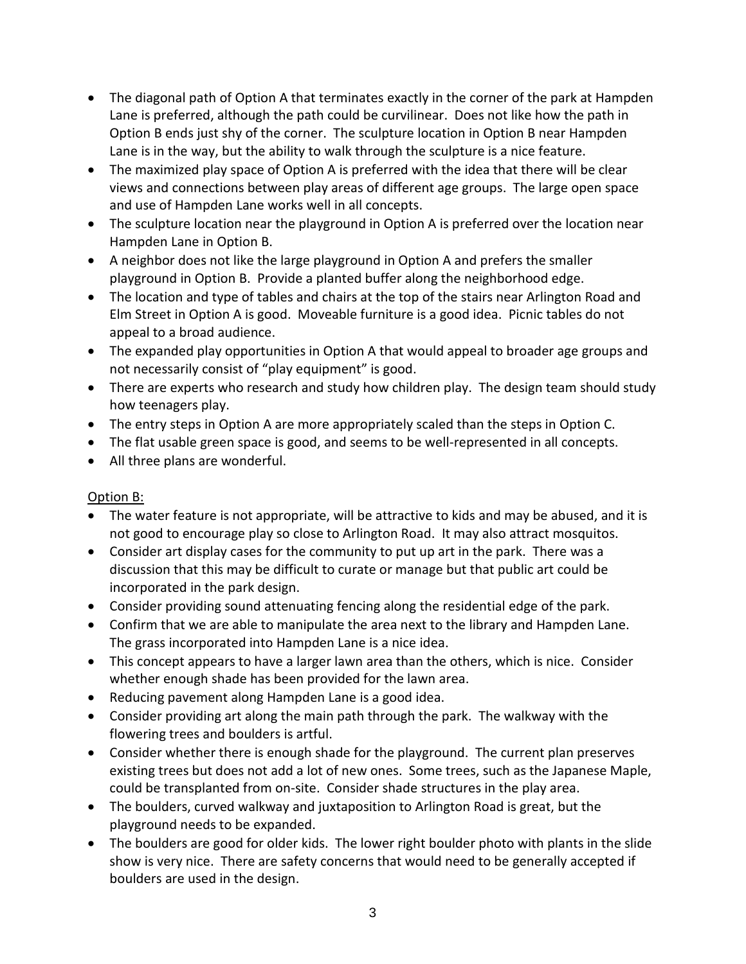- The diagonal path of Option A that terminates exactly in the corner of the park at Hampden Lane is preferred, although the path could be curvilinear. Does not like how the path in Option B ends just shy of the corner. The sculpture location in Option B near Hampden Lane is in the way, but the ability to walk through the sculpture is a nice feature.
- The maximized play space of Option A is preferred with the idea that there will be clear views and connections between play areas of different age groups. The large open space and use of Hampden Lane works well in all concepts.
- The sculpture location near the playground in Option A is preferred over the location near Hampden Lane in Option B.
- A neighbor does not like the large playground in Option A and prefers the smaller playground in Option B. Provide a planted buffer along the neighborhood edge.
- The location and type of tables and chairs at the top of the stairs near Arlington Road and Elm Street in Option A is good. Moveable furniture is a good idea. Picnic tables do not appeal to a broad audience.
- The expanded play opportunities in Option A that would appeal to broader age groups and not necessarily consist of "play equipment" is good.
- There are experts who research and study how children play. The design team should study how teenagers play.
- The entry steps in Option A are more appropriately scaled than the steps in Option C.
- The flat usable green space is good, and seems to be well-represented in all concepts.
- All three plans are wonderful.

# Option B:

- The water feature is not appropriate, will be attractive to kids and may be abused, and it is not good to encourage play so close to Arlington Road. It may also attract mosquitos.
- Consider art display cases for the community to put up art in the park. There was a discussion that this may be difficult to curate or manage but that public art could be incorporated in the park design.
- Consider providing sound attenuating fencing along the residential edge of the park.
- Confirm that we are able to manipulate the area next to the library and Hampden Lane. The grass incorporated into Hampden Lane is a nice idea.
- This concept appears to have a larger lawn area than the others, which is nice. Consider whether enough shade has been provided for the lawn area.
- Reducing pavement along Hampden Lane is a good idea.
- Consider providing art along the main path through the park. The walkway with the flowering trees and boulders is artful.
- Consider whether there is enough shade for the playground. The current plan preserves existing trees but does not add a lot of new ones. Some trees, such as the Japanese Maple, could be transplanted from on-site. Consider shade structures in the play area.
- The boulders, curved walkway and juxtaposition to Arlington Road is great, but the playground needs to be expanded.
- The boulders are good for older kids. The lower right boulder photo with plants in the slide show is very nice. There are safety concerns that would need to be generally accepted if boulders are used in the design.